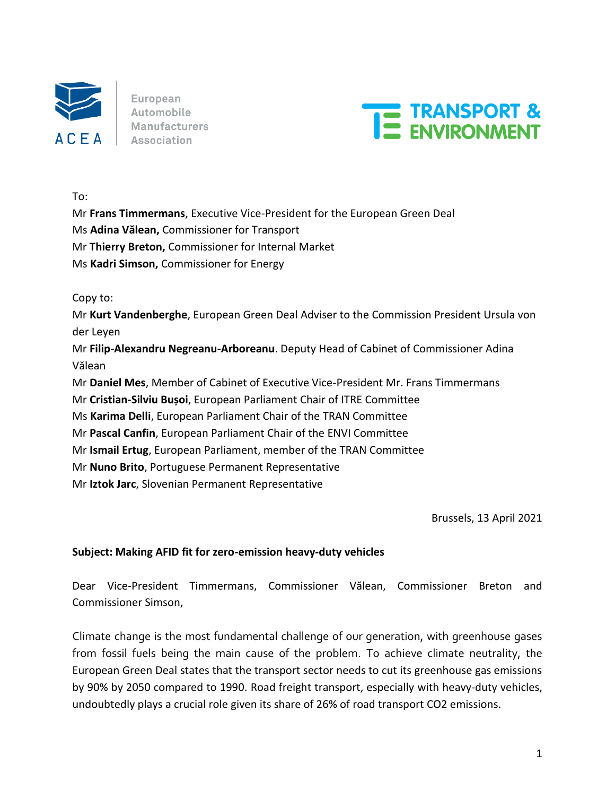

European Automobile **Manufacturers** Association



To:

Mr **Frans Timmermans**, Executive Vice-President for the European Green Deal

Ms **Adina Vălean,** Commissioner for Transport

Mr **Thierry Breton,** Commissioner for Internal Market

Ms **Kadri Simson,** Commissioner for Energy

Copy to:

Mr **Kurt Vandenberghe**, European Green Deal Adviser to the Commission President Ursula von der Leyen

Mr **Filip-Alexandru Negreanu-Arboreanu**. Deputy Head of Cabinet of Commissioner Adina Vălean

Mr **Daniel Mes**, Member of Cabinet of Executive Vice-President Mr. Frans Timmermans

Mr **Cristian-Silviu Bușoi**, European Parliament Chair of ITRE Committee

Ms **Karima Delli**, European Parliament Chair of the TRAN Committee

Mr **Pascal Canfin**, European Parliament Chair of the ENVI Committee

Mr **Ismail Ertug**, European Parliament, member of the TRAN Committee

Mr **Nuno Brito**, Portuguese Permanent Representative

Mr **Iztok Jarc**, Slovenian Permanent Representative

Brussels, 13 April 2021

### **Subject: Making AFID fit for zero-emission heavy-duty vehicles**

Dear Vice-President Timmermans, Commissioner Vălean, Commissioner Breton and Commissioner Simson,

Climate change is the most fundamental challenge of our generation, with greenhouse gases from fossil fuels being the main cause of the problem. To achieve climate neutrality, the European Green Deal states that the transport sector needs to cut its greenhouse gas emissions by 90% by 2050 compared to 1990. Road freight transport, especially with heavy-duty vehicles, undoubtedly plays a crucial role given its share of 26% of road transport CO2 emissions.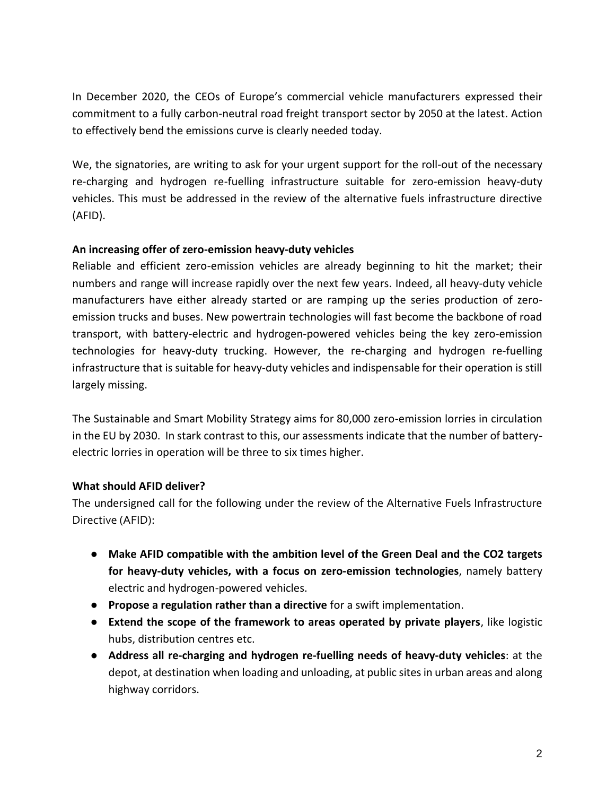In December 2020, the CEOs of Europe's commercial vehicle manufacturers expressed their commitment to a fully carbon-neutral road freight transport sector by 2050 at the latest. Action to effectively bend the emissions curve is clearly needed today.

We, the signatories, are writing to ask for your urgent support for the roll-out of the necessary re-charging and hydrogen re-fuelling infrastructure suitable for zero-emission heavy-duty vehicles. This must be addressed in the review of the alternative fuels infrastructure directive (AFID).

## **An increasing offer of zero-emission heavy-duty vehicles**

Reliable and efficient zero-emission vehicles are already beginning to hit the market; their numbers and range will increase rapidly over the next few years. Indeed, all heavy-duty vehicle manufacturers have either already started or are ramping up the series production of zeroemission trucks and buses. New powertrain technologies will fast become the backbone of road transport, with battery-electric and hydrogen-powered vehicles being the key zero-emission technologies for heavy-duty trucking. However, the re-charging and hydrogen re-fuelling infrastructure that is suitable for heavy-duty vehicles and indispensable for their operation is still largely missing.

The Sustainable and Smart Mobility Strategy aims for 80,000 zero-emission lorries in circulation in the EU by 2030. In stark contrast to this, our assessments indicate that the number of batteryelectric lorries in operation will be three to six times higher.

## **What should AFID deliver?**

The undersigned call for the following under the review of the Alternative Fuels Infrastructure Directive (AFID):

- **Make AFID compatible with the ambition level of the Green Deal and the CO2 targets for heavy-duty vehicles, with a focus on zero-emission technologies**, namely battery electric and hydrogen-powered vehicles.
- **Propose a regulation rather than a directive** for a swift implementation.
- **Extend the scope of the framework to areas operated by private players**, like logistic hubs, distribution centres etc.
- **Address all re-charging and hydrogen re-fuelling needs of heavy-duty vehicles**: at the depot, at destination when loading and unloading, at public sites in urban areas and along highway corridors.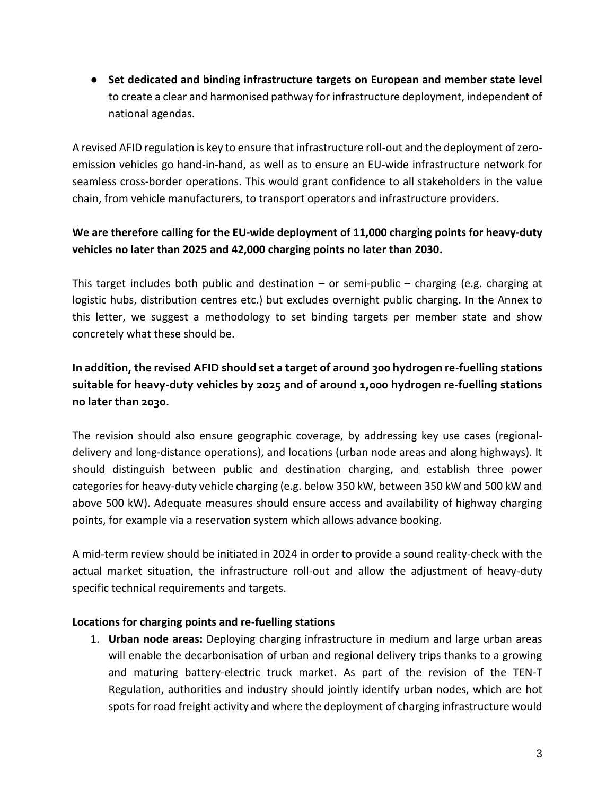● **Set dedicated and binding infrastructure targets on European and member state level**  to create a clear and harmonised pathway for infrastructure deployment, independent of national agendas.

A revised AFID regulation is key to ensure that infrastructure roll-out and the deployment of zeroemission vehicles go hand-in-hand, as well as to ensure an EU-wide infrastructure network for seamless cross-border operations. This would grant confidence to all stakeholders in the value chain, from vehicle manufacturers, to transport operators and infrastructure providers.

## **We are therefore calling for the EU-wide deployment of 11,000 charging points for heavy-duty vehicles no later than 2025 and 42,000 charging points no later than 2030.**

This target includes both public and destination – or semi-public – charging (e.g. charging at logistic hubs, distribution centres etc.) but excludes overnight public charging. In the Annex to this letter, we suggest a methodology to set binding targets per member state and show concretely what these should be.

# **In addition, the revised AFID should set a target of around 300 hydrogen re-fuelling stations suitable for heavy-duty vehicles by 2025 and of around 1,000 hydrogen re-fuelling stations no later than 2030.**

The revision should also ensure geographic coverage, by addressing key use cases (regionaldelivery and long-distance operations), and locations (urban node areas and along highways). It should distinguish between public and destination charging, and establish three power categories for heavy-duty vehicle charging (e.g. below 350 kW, between 350 kW and 500 kW and above 500 kW). Adequate measures should ensure access and availability of highway charging points, for example via a reservation system which allows advance booking.

A mid-term review should be initiated in 2024 in order to provide a sound reality-check with the actual market situation, the infrastructure roll-out and allow the adjustment of heavy-duty specific technical requirements and targets.

## **Locations for charging points and re-fuelling stations**

1. **Urban node areas:** Deploying charging infrastructure in medium and large urban areas will enable the decarbonisation of urban and regional delivery trips thanks to a growing and maturing battery-electric truck market. As part of the revision of the TEN-T Regulation, authorities and industry should jointly identify urban nodes, which are hot spots for road freight activity and where the deployment of charging infrastructure would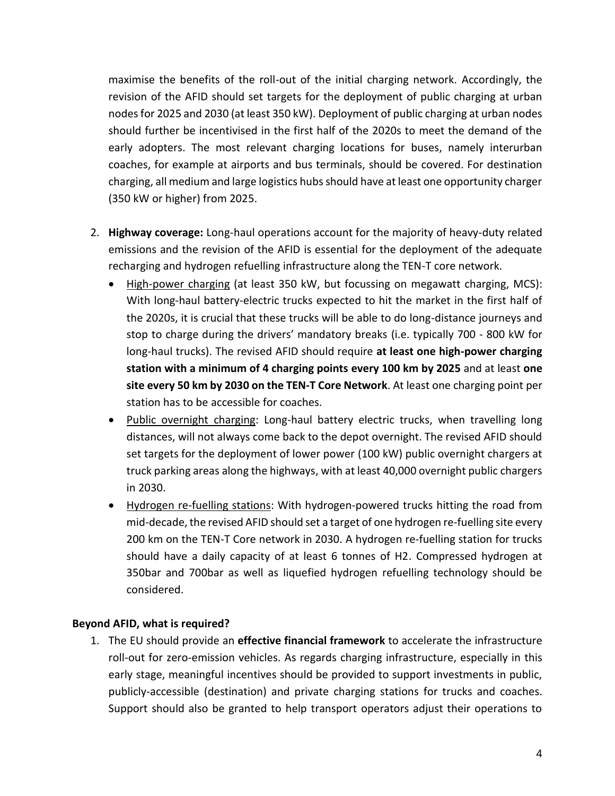maximise the benefits of the roll-out of the initial charging network. Accordingly, the revision of the AFID should set targets for the deployment of public charging at urban nodes for 2025 and 2030 (at least 350 kW). Deployment of public charging at urban nodes should further be incentivised in the first half of the 2020s to meet the demand of the early adopters. The most relevant charging locations for buses, namely interurban coaches, for example at airports and bus terminals, should be covered. For destination charging, all medium and large logistics hubs should have at least one opportunity charger (350 kW or higher) from 2025.

- 2. **Highway coverage:** Long-haul operations account for the majority of heavy-duty related emissions and the revision of the AFID is essential for the deployment of the adequate recharging and hydrogen refuelling infrastructure along the TEN-T core network.
	- High-power charging (at least 350 kW, but focussing on megawatt charging, MCS): With long-haul battery-electric trucks expected to hit the market in the first half of the 2020s, it is crucial that these trucks will be able to do long-distance journeys and stop to charge during the drivers' mandatory breaks (i.e. typically 700 - 800 kW for long-haul trucks). The revised AFID should require **at least one high-power charging station with a minimum of 4 charging points every 100 km by 2025** and at least **one site every 50 km by 2030 on the TEN-T Core Network**. At least one charging point per station has to be accessible for coaches.
	- Public overnight charging: Long-haul battery electric trucks, when travelling long distances, will not always come back to the depot overnight. The revised AFID should set targets for the deployment of lower power (100 kW) public overnight chargers at truck parking areas along the highways, with at least 40,000 overnight public chargers in 2030.
	- Hydrogen re-fuelling stations: With hydrogen-powered trucks hitting the road from mid-decade, the revised AFID should set a target of one hydrogen re-fuelling site every 200 km on the TEN-T Core network in 2030. A hydrogen re-fuelling station for trucks should have a daily capacity of at least 6 tonnes of H2. Compressed hydrogen at 350bar and 700bar as well as liquefied hydrogen refuelling technology should be considered.

## **Beyond AFID, what is required?**

1. The EU should provide an **effective financial framework** to accelerate the infrastructure roll-out for zero-emission vehicles. As regards charging infrastructure, especially in this early stage, meaningful incentives should be provided to support investments in public, publicly-accessible (destination) and private charging stations for trucks and coaches. Support should also be granted to help transport operators adjust their operations to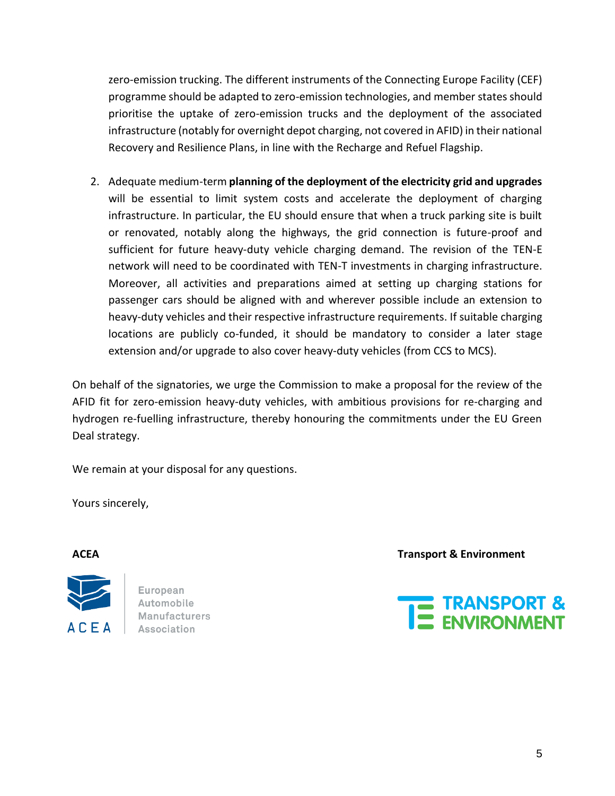zero-emission trucking. The different instruments of the Connecting Europe Facility (CEF) programme should be adapted to zero-emission technologies, and member statesshould prioritise the uptake of zero-emission trucks and the deployment of the associated infrastructure (notably for overnight depot charging, not covered in AFID) in their national Recovery and Resilience Plans, in line with the Recharge and Refuel Flagship.

2. Adequate medium-term **planning of the deployment of the electricity grid and upgrades** will be essential to limit system costs and accelerate the deployment of charging infrastructure. In particular, the EU should ensure that when a truck parking site is built or renovated, notably along the highways, the grid connection is future-proof and sufficient for future heavy-duty vehicle charging demand. The revision of the TEN-E network will need to be coordinated with TEN-T investments in charging infrastructure. Moreover, all activities and preparations aimed at setting up charging stations for passenger cars should be aligned with and wherever possible include an extension to heavy-duty vehicles and their respective infrastructure requirements. If suitable charging locations are publicly co-funded, it should be mandatory to consider a later stage extension and/or upgrade to also cover heavy-duty vehicles (from CCS to MCS).

On behalf of the signatories, we urge the Commission to make a proposal for the review of the AFID fit for zero-emission heavy-duty vehicles, with ambitious provisions for re-charging and hydrogen re-fuelling infrastructure, thereby honouring the commitments under the EU Green Deal strategy.

We remain at your disposal for any questions.

Yours sincerely,



European Automobile **Manufacturers** Association

**ACEA Transport & Environment**

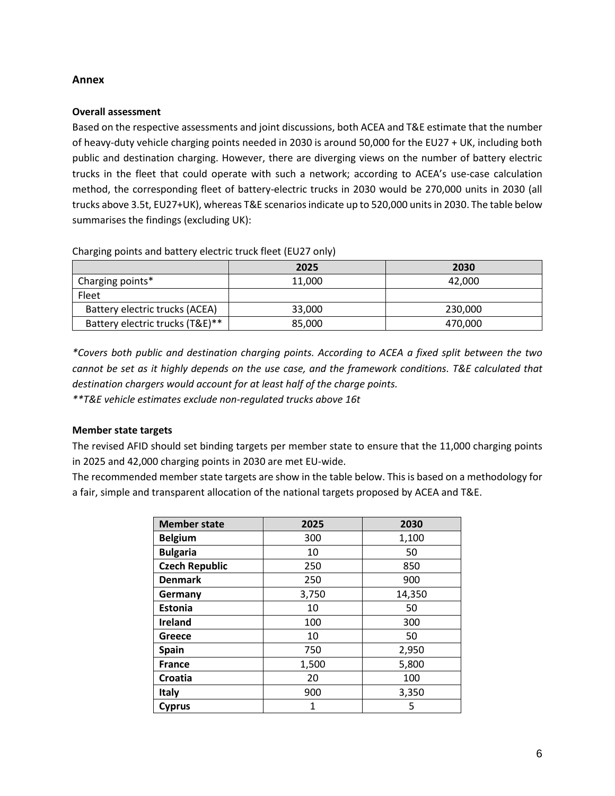#### **Annex**

#### **Overall assessment**

Based on the respective assessments and joint discussions, both ACEA and T&E estimate that the number of heavy-duty vehicle charging points needed in 2030 is around 50,000 for the EU27 + UK, including both public and destination charging. However, there are diverging views on the number of battery electric trucks in the fleet that could operate with such a network; according to ACEA's use-case calculation method, the corresponding fleet of battery-electric trucks in 2030 would be 270,000 units in 2030 (all trucks above 3.5t, EU27+UK), whereas T&E scenarios indicate up to 520,000 units in 2030. The table below summarises the findings (excluding UK):

Charging points and battery electric truck fleet (EU27 only)

|                                 | 2025   | 2030    |
|---------------------------------|--------|---------|
| Charging points*                | 11,000 | 42.000  |
| Fleet                           |        |         |
| Battery electric trucks (ACEA)  | 33,000 | 230,000 |
| Battery electric trucks (T&E)** | 85,000 | 470,000 |

*\*Covers both public and destination charging points. According to ACEA a fixed split between the two cannot be set as it highly depends on the use case, and the framework conditions. T&E calculated that destination chargers would account for at least half of the charge points. \*\*T&E vehicle estimates exclude non-regulated trucks above 16t*

### **Member state targets**

The revised AFID should set binding targets per member state to ensure that the 11,000 charging points in 2025 and 42,000 charging points in 2030 are met EU-wide.

The recommended member state targets are show in the table below. This is based on a methodology for a fair, simple and transparent allocation of the national targets proposed by ACEA and T&E.

| <b>Member state</b>   | 2025  | 2030   |
|-----------------------|-------|--------|
| <b>Belgium</b>        | 300   | 1,100  |
| <b>Bulgaria</b>       | 10    | 50     |
| <b>Czech Republic</b> | 250   | 850    |
| <b>Denmark</b>        | 250   | 900    |
| Germany               | 3,750 | 14,350 |
| <b>Estonia</b>        | 10    | 50     |
| <b>Ireland</b>        | 100   | 300    |
| Greece                | 10    | 50     |
| <b>Spain</b>          | 750   | 2,950  |
| <b>France</b>         | 1,500 | 5,800  |
| Croatia               | 20    | 100    |
| <b>Italy</b>          | 900   | 3,350  |
| <b>Cyprus</b>         | 1     | 5      |